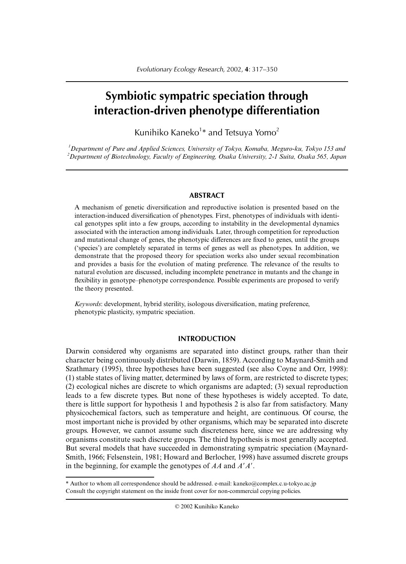# **Symbiotic sympatric speciation through interaction-driven phenotype differentiation**

Kunihiko Kaneko<sup>1</sup>\* and Tetsuya Yomo<sup>2</sup>

*1 Department of Pure and Applied Sciences, University of Tokyo, Komaba, Meguro-ku, Tokyo 153 and 2 Department of Biotechnology, Faculty of Engineering, Osaka University, 2-1 Suita, Osaka 565, Japan*

## **ABSTRACT**

A mechanism of genetic diversification and reproductive isolation is presented based on the interaction-induced diversification of phenotypes. First, phenotypes of individuals with identical genotypes split into a few groups, according to instability in the developmental dynamics associated with the interaction among individuals. Later, through competition for reproduction and mutational change of genes, the phenotypic differences are fixed to genes, until the groups ('species') are completely separated in terms of genes as well as phenotypes. In addition, we demonstrate that the proposed theory for speciation works also under sexual recombination and provides a basis for the evolution of mating preference. The relevance of the results to natural evolution are discussed, including incomplete penetrance in mutants and the change in flexibility in genotype–phenotype correspondence. Possible experiments are proposed to verify the theory presented.

*Keywords*: development, hybrid sterility, isologous diversification, mating preference, phenotypic plasticity, sympatric speciation.

# **INTRODUCTION**

Darwin considered why organisms are separated into distinct groups, rather than their character being continuously distributed (Darwin, 1859). According to Maynard-Smith and Szathmary (1995), three hypotheses have been suggested (see also Coyne and Orr, 1998): (1) stable states of living matter, determined by laws of form, are restricted to discrete types; (2) ecological niches are discrete to which organisms are adapted; (3) sexual reproduction leads to a few discrete types. But none of these hypotheses is widely accepted. To date, there is little support for hypothesis 1 and hypothesis 2 is also far from satisfactory. Many physicochemical factors, such as temperature and height, are continuous. Of course, the most important niche is provided by other organisms, which may be separated into discrete groups. However, we cannot assume such discreteness here, since we are addressing why organisms constitute such discrete groups. The third hypothesis is most generally accepted. But several models that have succeeded in demonstrating sympatric speciation (Maynard-Smith, 1966; Felsenstein, 1981; Howard and Berlocher, 1998) have assumed discrete groups in the beginning, for example the genotypes of *AA* and *A'A'*.

\* Author to whom all correspondence should be addressed. e-mail: kaneko@complex.c.u-tokyo.ac.jp Consult the copyright statement on the inside front cover for non-commercial copying policies.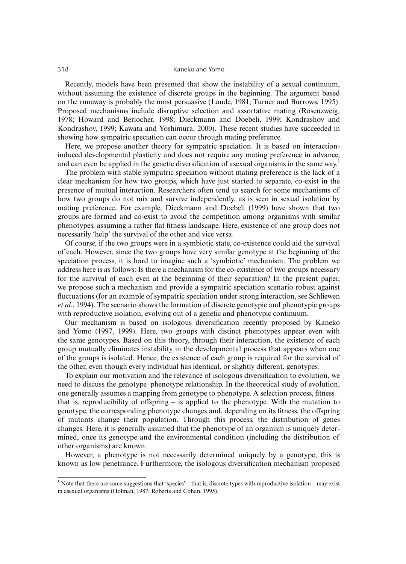Recently, models have been presented that show the instability of a sexual continuum, without assuming the existence of discrete groups in the beginning. The argument based on the runaway is probably the most persuasive (Lande, 1981; Turner and Burrows, 1995). Proposed mechanisms include disruptive selection and assortative mating (Rosenzweig, 1978; Howard and Berlocher, 1998; Dieckmann and Doebeli, 1999; Kondrashov and Kondrashov, 1999; Kawata and Yoshimura, 2000). These recent studies have succeeded in showing how sympatric speciation can occur through mating preference.

Here, we propose another theory for sympatric speciation. It is based on interactioninduced developmental plasticity and does not require any mating preference in advance, and can even be applied in the genetic diversification of asexual organisms in the same way.<sup>1</sup>

The problem with stable sympatric speciation without mating preference is the lack of a clear mechanism for how two groups, which have just started to separate, co-exist in the presence of mutual interaction. Researchers often tend to search for some mechanisms of how two groups do not mix and survive independently, as is seen in sexual isolation by mating preference. For example, Dieckmann and Doebeli (1999) have shown that two groups are formed and co-exist to avoid the competition among organisms with similar phenotypes, assuming a rather flat fitness landscape. Here, existence of one group does not necessarily 'help' the survival of the other and vice versa.

Of course, if the two groups were in a symbiotic state, co-existence could aid the survival of each. However, since the two groups have very similar genotype at the beginning of the speciation process, it is hard to imagine such a 'symbiotic' mechanism. The problem we address here is as follows: Is there a mechanism for the co-existence of two groups necessary for the survival of each even at the beginning of their separation? In the present paper, we propose such a mechanism and provide a sympatric speciation scenario robust against fluctuations (for an example of sympatric speciation under strong interaction, see Schliewen *et al*., 1994). The scenario shows the formation of discrete genotypic and phenotypic groups with reproductive isolation, evolving out of a genetic and phenotypic continuum.

Our mechanism is based on isologous diversification recently proposed by Kaneko and Yomo (1997, 1999). Here, two groups with distinct phenotypes appear even with the same genotypes. Based on this theory, through their interaction, the existence of each group mutually eliminates instability in the developmental process that appears when one of the groups is isolated. Hence, the existence of each group is required for the survival of the other, even though every individual has identical, or slightly different, genotypes.

To explain our motivation and the relevance of isologous diversification to evolution, we need to discuss the genotype–phenotype relationship. In the theoretical study of evolution, one generally assumes a mapping from genotype to phenotype. A selection process, fitness – that is, reproducibility of offspring – is applied to the phenotype. With the mutation to genotype, the corresponding phenotype changes and, depending on its fitness, the offspring of mutants change their population. Through this process, the distribution of genes changes. Here, it is generally assumed that the phenotype of an organism is uniquely determined, once its genotype and the environmental condition (including the distribution of other organisms) are known.

However, a phenotype is not necessarily determined uniquely by a genotype; this is known as low penetrance. Furthermore, the isologous diversification mechanism proposed

<sup>&</sup>lt;sup>1</sup> Note that there are some suggestions that 'species' – that is, discrete types with reproductive isolation – may exist in asexual organisms (Holman, 1987; Roberts and Cohan, 1995).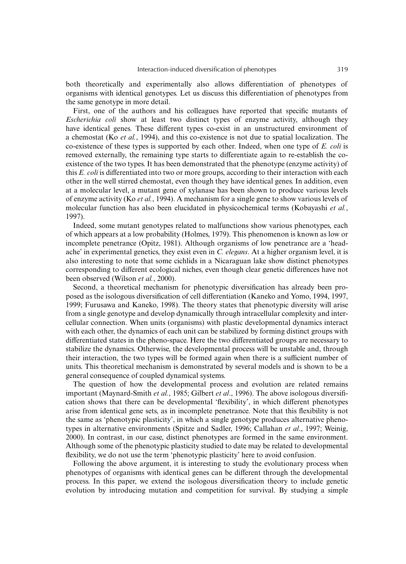both theoretically and experimentally also allows differentiation of phenotypes of organisms with identical genotypes. Let us discuss this differentiation of phenotypes from the same genotype in more detail.

First, one of the authors and his colleagues have reported that specific mutants of *Escherichia coli* show at least two distinct types of enzyme activity, although they have identical genes. These different types co-exist in an unstructured environment of a chemostat (Ko *et al.*, 1994), and this co-existence is not due to spatial localization. The co-existence of these types is supported by each other. Indeed, when one type of *E. coli* is removed externally, the remaining type starts to differentiate again to re-establish the coexistence of the two types. It has been demonstrated that the phenotype (enzyme activity) of this *E. coli* is differentiated into two or more groups, according to their interaction with each other in the well stirred chemostat, even though they have identical genes. In addition, even at a molecular level, a mutant gene of xylanase has been shown to produce various levels of enzyme activity (Ko *et al.*, 1994). A mechanism for a single gene to show various levels of molecular function has also been elucidated in physicochemical terms (Kobayashi *et al.*, 1997).

Indeed, some mutant genotypes related to malfunctions show various phenotypes, each of which appears at a low probability (Holmes, 1979). This phenomenon is known as low or incomplete penetrance (Opitz, 1981). Although organisms of low penetrance are a 'headache' in experimental genetics, they exist even in *C. elegans*. At a higher organism level, it is also interesting to note that some cichlids in a Nicaraguan lake show distinct phenotypes corresponding to different ecological niches, even though clear genetic differences have not been observed (Wilson *et al.*, 2000).

Second, a theoretical mechanism for phenotypic diversification has already been proposed as the isologous diversification of cell differentiation (Kaneko and Yomo, 1994, 1997, 1999; Furusawa and Kaneko, 1998). The theory states that phenotypic diversity will arise from a single genotype and develop dynamically through intracellular complexity and intercellular connection. When units (organisms) with plastic developmental dynamics interact with each other, the dynamics of each unit can be stabilized by forming distinct groups with differentiated states in the pheno-space. Here the two differentiated groups are necessary to stabilize the dynamics. Otherwise, the developmental process will be unstable and, through their interaction, the two types will be formed again when there is a sufficient number of units. This theoretical mechanism is demonstrated by several models and is shown to be a general consequence of coupled dynamical systems.

The question of how the developmental process and evolution are related remains important (Maynard-Smith *et al.*, 1985; Gilbert *et al*., 1996). The above isologous diversification shows that there can be developmental 'flexibility', in which different phenotypes arise from identical gene sets, as in incomplete penetrance. Note that this flexibility is not the same as 'phenotypic plasticity', in which a single genotype produces alternative phenotypes in alternative environments (Spitze and Sadler, 1996; Callahan *et al*., 1997; Weinig, 2000). In contrast, in our case, distinct phenotypes are formed in the same environment. Although some of the phenotypic plasticity studied to date may be related to developmental flexibility, we do not use the term 'phenotypic plasticity' here to avoid confusion.

Following the above argument, it is interesting to study the evolutionary process when phenotypes of organisms with identical genes can be different through the developmental process. In this paper, we extend the isologous diversification theory to include genetic evolution by introducing mutation and competition for survival. By studying a simple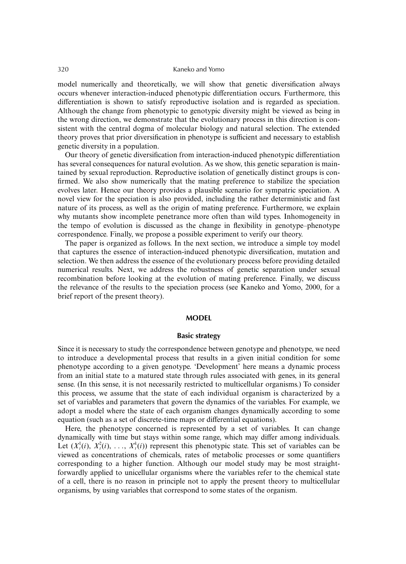model numerically and theoretically, we will show that genetic diversification always occurs whenever interaction-induced phenotypic differentiation occurs. Furthermore, this differentiation is shown to satisfy reproductive isolation and is regarded as speciation. Although the change from phenotypic to genotypic diversity might be viewed as being in the wrong direction, we demonstrate that the evolutionary process in this direction is consistent with the central dogma of molecular biology and natural selection. The extended theory proves that prior diversification in phenotype is sufficient and necessary to establish genetic diversity in a population.

Our theory of genetic diversification from interaction-induced phenotypic differentiation has several consequences for natural evolution. As we show, this genetic separation is maintained by sexual reproduction. Reproductive isolation of genetically distinct groups is confirmed. We also show numerically that the mating preference to stabilize the speciation evolves later. Hence our theory provides a plausible scenario for sympatric speciation. A novel view for the speciation is also provided, including the rather deterministic and fast nature of its process, as well as the origin of mating preference. Furthermore, we explain why mutants show incomplete penetrance more often than wild types. Inhomogeneity in the tempo of evolution is discussed as the change in flexibility in genotype–phenotype correspondence. Finally, we propose a possible experiment to verify our theory.

The paper is organized as follows. In the next section, we introduce a simple toy model that captures the essence of interaction-induced phenotypic diversification, mutation and selection. We then address the essence of the evolutionary process before providing detailed numerical results. Next, we address the robustness of genetic separation under sexual recombination before looking at the evolution of mating preference. Finally, we discuss the relevance of the results to the speciation process (see Kaneko and Yomo, 2000, for a brief report of the present theory).

### **MODEL**

## **Basic strategy**

Since it is necessary to study the correspondence between genotype and phenotype, we need to introduce a developmental process that results in a given initial condition for some phenotype according to a given genotype. 'Development' here means a dynamic process from an initial state to a matured state through rules associated with genes, in its general sense. (In this sense, it is not necessarily restricted to multicellular organisms.) To consider this process, we assume that the state of each individual organism is characterized by a set of variables and parameters that govern the dynamics of the variables. For example, we adopt a model where the state of each organism changes dynamically according to some equation (such as a set of discrete-time maps or differential equations).

Here, the phenotype concerned is represented by a set of variables. It can change dynamically with time but stays within some range, which may differ among individuals. Let  $(X^1_i(i), X^2_i(i), \ldots, X^k_i(i))$  represent this phenotypic state. This set of variables can be viewed as concentrations of chemicals, rates of metabolic processes or some quantifiers corresponding to a higher function. Although our model study may be most straightforwardly applied to unicellular organisms where the variables refer to the chemical state of a cell, there is no reason in principle not to apply the present theory to multicellular organisms, by using variables that correspond to some states of the organism.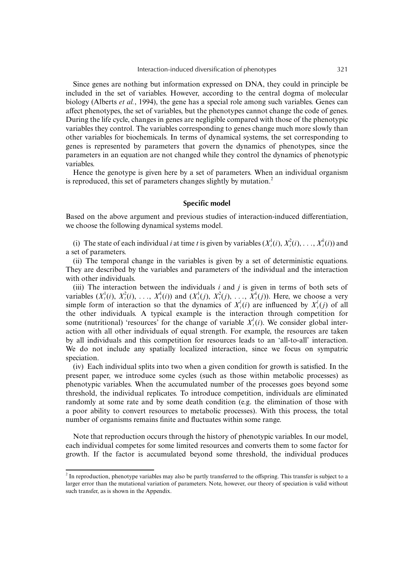Since genes are nothing but information expressed on DNA, they could in principle be included in the set of variables. However, according to the central dogma of molecular biology (Alberts *et al.*, 1994), the gene has a special role among such variables. Genes can affect phenotypes, the set of variables, but the phenotypes cannot change the code of genes. During the life cycle, changes in genes are negligible compared with those of the phenotypic variables they control. The variables corresponding to genes change much more slowly than other variables for biochemicals. In terms of dynamical systems, the set corresponding to genes is represented by parameters that govern the dynamics of phenotypes, since the parameters in an equation are not changed while they control the dynamics of phenotypic variables.

Hence the genotype is given here by a set of parameters. When an individual organism is reproduced, this set of parameters changes slightly by mutation.<sup>2</sup>

## **Specific model**

Based on the above argument and previous studies of interaction-induced differentiation, we choose the following dynamical systems model.

(i) The state of each individual *i* at time *t* is given by variables  $(X_t^1(i), X_t^2(i), \ldots, X_t^k(i))$  and a set of parameters.

(ii) The temporal change in the variables is given by a set of deterministic equations. They are described by the variables and parameters of the individual and the interaction with other individuals.

(iii) The interaction between the individuals *i* and *j* is given in terms of both sets of variables  $(X_t^1(i), X_t^2(i), \ldots, X_t^k(i))$  and  $(X_t^1(j), X_t^2(j), \ldots, X_t^k(j))$ . Here, we choose a very simple form of interaction so that the dynamics of  $X_i^l(i)$  are influenced by  $X_i^l(j)$  of all the other individuals. A typical example is the interaction through competition for some (nutritional) 'resources' for the change of variable  $X_t^i(i)$ . We consider global interaction with all other individuals of equal strength. For example, the resources are taken by all individuals and this competition for resources leads to an 'all-to-all' interaction. We do not include any spatially localized interaction, since we focus on sympatric speciation.

(iv) Each individual splits into two when a given condition for growth is satisfied. In the present paper, we introduce some cycles (such as those within metabolic processes) as phenotypic variables. When the accumulated number of the processes goes beyond some threshold, the individual replicates. To introduce competition, individuals are eliminated randomly at some rate and by some death condition (e.g. the elimination of those with a poor ability to convert resources to metabolic processes). With this process, the total number of organisms remains finite and fluctuates within some range.

Note that reproduction occurs through the history of phenotypic variables. In our model, each individual competes for some limited resources and converts them to some factor for growth. If the factor is accumulated beyond some threshold, the individual produces

 $2$  In reproduction, phenotype variables may also be partly transferred to the offspring. This transfer is subject to a larger error than the mutational variation of parameters. Note, however, our theory of speciation is valid without such transfer, as is shown in the Appendix.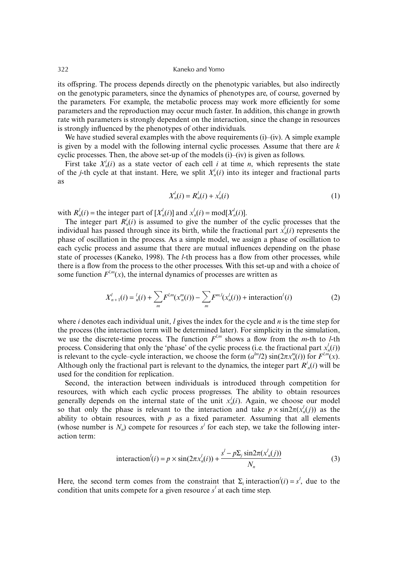its offspring. The process depends directly on the phenotypic variables, but also indirectly on the genotypic parameters, since the dynamics of phenotypes are, of course, governed by the parameters. For example, the metabolic process may work more efficiently for some parameters and the reproduction may occur much faster. In addition, this change in growth rate with parameters is strongly dependent on the interaction, since the change in resources is strongly influenced by the phenotypes of other individuals.

We have studied several examples with the above requirements  $(i)$ – $(iv)$ . A simple example is given by a model with the following internal cyclic processes. Assume that there are *k* cyclic processes. Then, the above set-up of the models (i)–(iv) is given as follows.

First take  $X_n^j(i)$  as a state vector of each cell *i* at time *n*, which represents the state of the *j*-th cycle at that instant. Here, we split  $X_n^j(i)$  into its integer and fractional parts as

$$
X_n^l(i) = R_n^l(i) + x_n^l(i)
$$
 (1)

with  $R_n^l(i)$  = the integer part of  $[X_n^l(i)]$  and  $x_n^l(i)$  = mod $[X_n^l(i)]$ .

The integer part  $R_n^j(i)$  is assumed to give the number of the cyclic processes that the individual has passed through since its birth, while the fractional part  $x_n^j(i)$  represents the phase of oscillation in the process. As a simple model, we assign a phase of oscillation to each cyclic process and assume that there are mutual influences depending on the phase state of processes (Kaneko, 1998). The *l*-th process has a flow from other processes, while there is a flow from the process to the other processes. With this set-up and with a choice of some function  $F^{l,m}(x)$ , the internal dynamics of processes are written as

$$
X'_{n+1}(i) = {}^{l}_{n}(i) + \sum_{m} F^{l,m}(x^{m}_{n}(i)) - \sum_{m} F^{m,l}(x^{l}_{n}(i)) + \text{interaction}'(i)
$$
 (2)

where *i* denotes each individual unit, *l* gives the index for the cycle and *n* is the time step for the process (the interaction term will be determined later). For simplicity in the simulation, we use the discrete-time process. The function  $F^{l,m}$  shows a flow from the *m*-th to *l*-th process. Considering that only the 'phase' of the cyclic process (i.e. the fractional part  $x'_n(i)$ ) is relevant to the cycle–cycle interaction, we choose the form  $(a^{lm}/2) \sin(2\pi x_n^m(i))$  for  $F^{l,m}(x)$ . Although only the fractional part is relevant to the dynamics, the integer part  $R^j_n(i)$  will be used for the condition for replication.

Second, the interaction between individuals is introduced through competition for resources, with which each cyclic process progresses. The ability to obtain resources generally depends on the internal state of the unit  $x_n^j(i)$ . Again, we choose our model so that only the phase is relevant to the interaction and take  $p \times \sin 2\pi(x_n^j(j))$  as the ability to obtain resources, with  $p$  as a fixed parameter. Assuming that all elements (whose number is  $N_n$ ) compete for resources  $s^j$  for each step, we take the following interaction term:

$$
interaction'(i) = p \times \sin(2\pi x_n^j(i)) + \frac{s^j - p\Sigma_j \sin 2\pi (x_n^j(j))}{N_n}
$$
\n(3)

Here, the second term comes from the constraint that  $\Sigma_i$  interaction<sup> $\ell(i) = s^i$ , due to the</sup> condition that units compete for a given resource  $s<sup>l</sup>$  at each time step.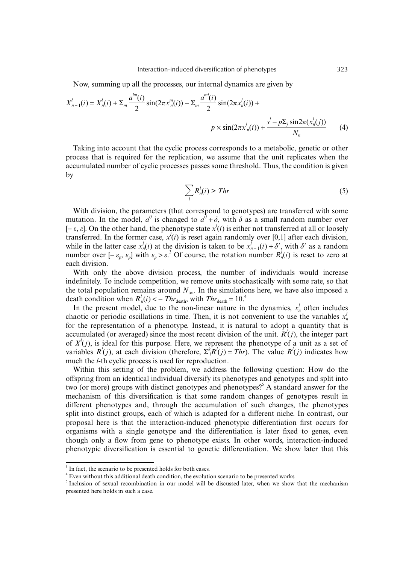Now, summing up all the processes, our internal dynamics are given by

$$
X'_{n+1}(i) = X'_{n}(i) + \sum_{m} \frac{a^{lm}(i)}{2} \sin(2\pi x''_{n}(i)) - \sum_{m} \frac{a^{ml}(i)}{2} \sin(2\pi x'_{n}(i)) +
$$

$$
p \times \sin(2\pi x'_{n}(i)) + \frac{s^{l} - p\sum_{j} \sin(2\pi (x'_{n}(j)))}{N_{n}}
$$
(4)

Taking into account that the cyclic process corresponds to a metabolic, genetic or other process that is required for the replication, we assume that the unit replicates when the accumulated number of cyclic processes passes some threshold. Thus, the condition is given by

$$
\sum_{l} R_n^l(i) > \text{Thr} \tag{5}
$$

With division, the parameters (that correspond to genotypes) are transferred with some mutation. In the model,  $a^{ij}$  is changed to  $a^{ij} + \delta$ , with  $\delta$  as a small random number over [− ε, ε]. On the other hand, the phenotype state *xl* (*i*) is either not transferred at all or loosely transferred. In the former case,  $x'(i)$  is reset again randomly over [0,1] after each division, while in the latter case  $x_n^i(i)$  at the division is taken to be  $x_{n-1}^i(i) + \delta'$ , with  $\delta'$  as a random number over  $[-\varepsilon_p, \varepsilon_p]$  with  $\varepsilon_p > \varepsilon^3$  Of course, the rotation number  $R_n^l(i)$  is reset to zero at each division.

With only the above division process, the number of individuals would increase indefinitely. To include competition, we remove units stochastically with some rate, so that the total population remains around  $N_{tot}$ . In the simulations here, we have also imposed a death condition when  $R_n^l(i) < -Thr_{\text{death}}$ , with  $Thr_{\text{death}} = 10^{4}$ .

In the present model, due to the non-linear nature in the dynamics,  $x_n^l$  often includes chaotic or periodic oscillations in time. Then, it is not convenient to use the variables  $x_n^j$ for the representation of a phenotype. Instead, it is natural to adopt a quantity that is accumulated (or averaged) since the most recent division of the unit.  $R'(j)$ , the integer part of  $X^l(j)$ , is ideal for this purpose. Here, we represent the phenotype of a unit as a set of variables  $R'(j)$ , at each division (therefore,  $\sum_{i}^{k} R'(j) = Thr$ ). The value  $R'(j)$  indicates how much the *l*-th cyclic process is used for reproduction.

Within this setting of the problem, we address the following question: How do the offspring from an identical individual diversify its phenotypes and genotypes and split into two (or more) groups with distinct genotypes and phenotypes?<sup>5</sup> A standard answer for the mechanism of this diversification is that some random changes of genotypes result in different phenotypes and, through the accumulation of such changes, the phenotypes split into distinct groups, each of which is adapted for a different niche. In contrast, our proposal here is that the interaction-induced phenotypic differentiation first occurs for organisms with a single genotype and the differentiation is later fixed to genes, even though only a flow from gene to phenotype exists. In other words, interaction-induced phenotypic diversification is essential to genetic differentiation. We show later that this

<sup>&</sup>lt;sup>3</sup> In fact, the scenario to be presented holds for both cases.

<sup>&</sup>lt;sup>4</sup> Even without this additional death condition, the evolution scenario to be presented works.

<sup>&</sup>lt;sup>5</sup> Inclusion of sexual recombination in our model will be discussed later, when we show that the mechanism presented here holds in such a case.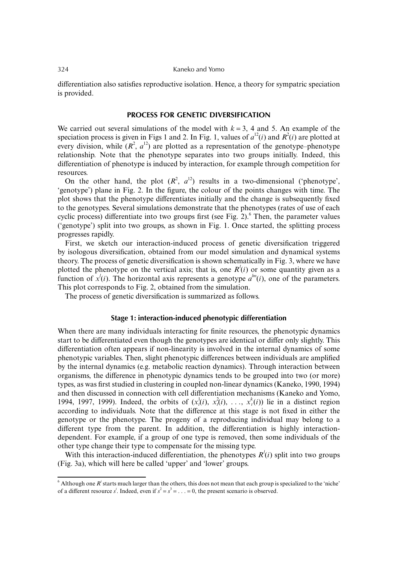differentiation also satisfies reproductive isolation. Hence, a theory for sympatric speciation is provided.

# **PROCESS FOR GENETIC DIVERSIFICATION**

We carried out several simulations of the model with  $k = 3$ , 4 and 5. An example of the speciation process is given in Figs 1 and 2. In Fig. 1, values of  $a^{12}(i)$  and  $R^2(i)$  are plotted at every division, while  $(R^2, a^{12})$  are plotted as a representation of the genotype–phenotype relationship. Note that the phenotype separates into two groups initially. Indeed, this differentiation of phenotype is induced by interaction, for example through competition for resources.

On the other hand, the plot  $(R^2, a^{12})$  results in a two-dimensional ('phenotype', 'genotype') plane in Fig. 2. In the figure, the colour of the points changes with time. The plot shows that the phenotype differentiates initially and the change is subsequently fixed to the genotypes. Several simulations demonstrate that the phenotypes (rates of use of each cyclic process) differentiate into two groups first (see Fig. 2). $<sup>6</sup>$  Then, the parameter values</sup> ('genotype') split into two groups, as shown in Fig. 1. Once started, the splitting process progresses rapidly.

First, we sketch our interaction-induced process of genetic diversification triggered by isologous diversification, obtained from our model simulation and dynamical systems theory. The process of genetic diversification is shown schematically in Fig. 3, where we have plotted the phenotype on the vertical axis; that is, one  $R<sup>i</sup>(i)$  or some quantity given as a function of  $x^i(i)$ . The horizontal axis represents a genotype  $a^{lm}(i)$ , one of the parameters. This plot corresponds to Fig. 2, obtained from the simulation.

The process of genetic diversification is summarized as follows.

### **Stage 1: interaction-induced phenotypic differentiation**

When there are many individuals interacting for finite resources, the phenotypic dynamics start to be differentiated even though the genotypes are identical or differ only slightly. This differentiation often appears if non-linearity is involved in the internal dynamics of some phenotypic variables. Then, slight phenotypic differences between individuals are amplified by the internal dynamics (e.g. metabolic reaction dynamics). Through interaction between organisms, the difference in phenotypic dynamics tends to be grouped into two (or more) types, as was first studied in clustering in coupled non-linear dynamics (Kaneko, 1990, 1994) and then discussed in connection with cell differentiation mechanisms (Kaneko and Yomo, 1994, 1997, 1999). Indeed, the orbits of  $(x_i^l(i), x_i^2(i), \ldots, x_i^k(i))$  lie in a distinct region according to individuals. Note that the difference at this stage is not fixed in either the genotype or the phenotype. The progeny of a reproducing individual may belong to a different type from the parent. In addition, the differentiation is highly interactiondependent. For example, if a group of one type is removed, then some individuals of the other type change their type to compensate for the missing type.

With this interaction-induced differentiation, the phenotypes  $R<sup>i</sup>(i)$  split into two groups (Fig. 3a), which will here be called 'upper' and 'lower' groups.

 $^6$  Although one  $R^i$  starts much larger than the others, this does not mean that each group is specialized to the 'niche' of a different resource *s*<sup>*i*</sup>. Indeed, even if  $s^2 = s^3 = \ldots = 0$ , the present scenario is observed.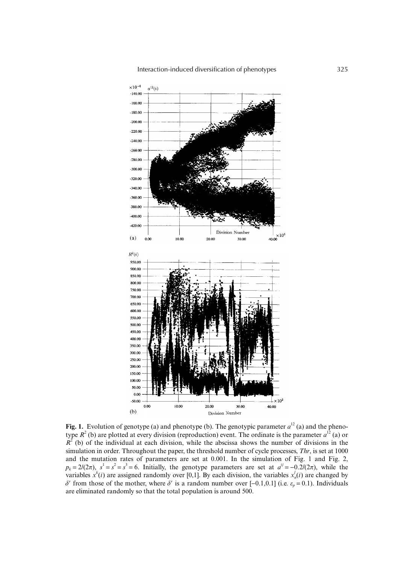

**Fig. 1.** Evolution of genotype (a) and phenotype (b). The genotypic parameter  $a^{12}$  (a) and the phenotype  $R^2$  (b) are plotted at every division (reproduction) event. The ordinate is the parameter  $a^{12}$  (a) or  $R<sup>2</sup>$  (b) of the individual at each division, while the abscissa shows the number of divisions in the simulation in order. Throughout the paper, the threshold number of cycle processes, *Thr*, is set at 1000 and the mutation rates of parameters are set at 0.001. In the simulation of Fig. 1 and Fig. 2,  $p_k = 2/(2\pi)$ ,  $s^1 = s^2 = s^3 = 6$ . Initially, the genotype parameters are set at  $a^{ij} = -0.2/(2\pi)$ , while the variables  $x^k(i)$  are assigned randomly over [0,1]. By each division, the variables  $x^l_n(i)$  are changed by  $δ'$  from those of the mother, where  $δ'$  is a random number over [−0.1,0.1] (i.e.  $ε<sub>p</sub> = 0.1$ ). Individuals are eliminated randomly so that the total population is around 500.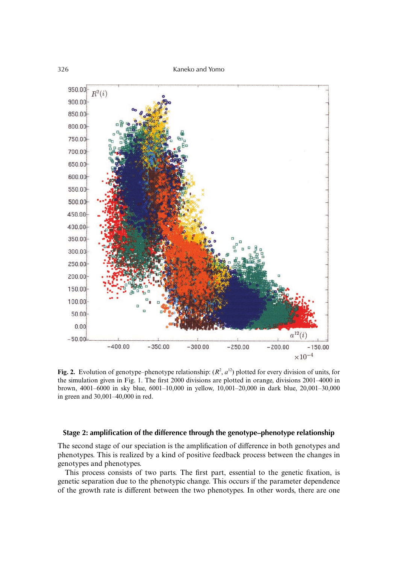

**Fig. 2.** Evolution of genotype–phenotype relationship:  $(R^2, a^{12})$  plotted for every division of units, for the simulation given in Fig. 1. The first 2000 divisions are plotted in orange, divisions 2001–4000 in brown, 4001–6000 in sky blue, 6001–10,000 in yellow, 10,001–20,000 in dark blue, 20,001–30,000 in green and 30,001–40,000 in red.

## **Stage 2: amplification of the difference through the genotype–phenotype relationship**

The second stage of our speciation is the amplification of difference in both genotypes and phenotypes. This is realized by a kind of positive feedback process between the changes in genotypes and phenotypes.

This process consists of two parts. The first part, essential to the genetic fixation, is genetic separation due to the phenotypic change. This occurs if the parameter dependence of the growth rate is different between the two phenotypes. In other words, there are one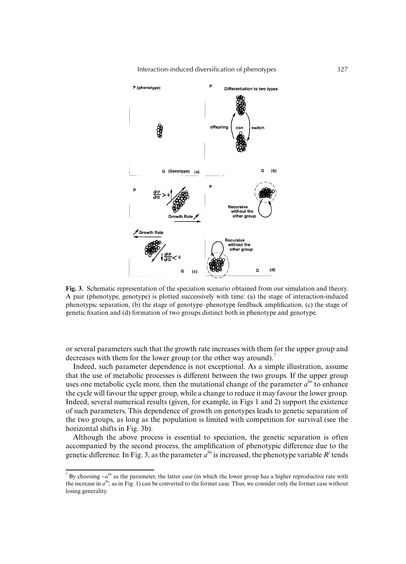Interaction-induced diversification of phenotypes 327



**Fig. 3.** Schematic representation of the speciation scenario obtained from our simulation and theory. A pair (phenotype, genotype) is plotted successively with time: (a) the stage of interaction-induced phenotypic separation, (b) the stage of genotype–phenotype feedback amplification, (c) the stage of genetic fixation and (d) formation of two groups distinct both in phenotype and genotype.

or several parameters such that the growth rate increases with them for the upper group and decreases with them for the lower group (or the other way around).<sup>7</sup>

Indeed, such parameter dependence is not exceptional. As a simple illustration, assume that the use of metabolic processes is different between the two groups. If the upper group uses one metabolic cycle more, then the mutational change of the parameter  $a^{lm}$  to enhance the cycle will favour the upper group, while a change to reduce it may favour the lower group. Indeed, several numerical results (given, for example, in Figs 1 and 2) support the existence of such parameters. This dependence of growth on genotypes leads to genetic separation of the two groups, as long as the population is limited with competition for survival (see the horizontal shifts in Fig. 3b).

Although the above process is essential to speciation, the genetic separation is often accompanied by the second process, the amplification of phenotypic difference due to the genetic difference. In Fig. 3, as the parameter  $a^{lm}$  is increased, the phenotype variable  $R^j$  tends

<sup>&</sup>lt;sup>7</sup> By choosing −*a*<sup>*lm*</sup> as the parameter, the latter case (in which the lower group has a higher reproductive rate with the increase in  $a^{lm}$ ; as in Fig. 1) can be converted to the former case. Thus, we consider only the former case without losing generality.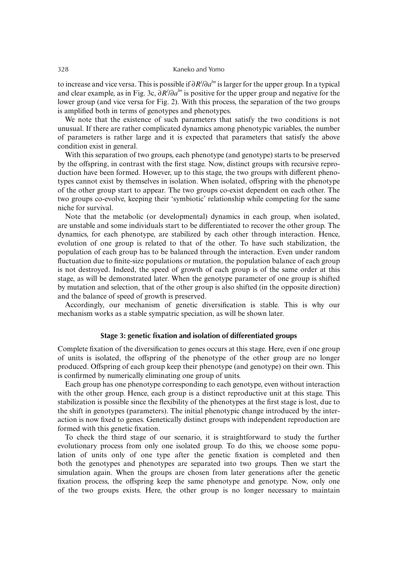to increase and vice versa. This is possible if ∂*R<sup>j</sup>* /∂*a lm* is larger for the upper group. In a typical and clear example, as in Fig. 3c, ∂*R<sup>j</sup>* /∂*alm* is positive for the upper group and negative for the lower group (and vice versa for Fig. 2). With this process, the separation of the two groups is amplified both in terms of genotypes and phenotypes.

We note that the existence of such parameters that satisfy the two conditions is not unusual. If there are rather complicated dynamics among phenotypic variables, the number of parameters is rather large and it is expected that parameters that satisfy the above condition exist in general.

With this separation of two groups, each phenotype (and genotype) starts to be preserved by the offspring, in contrast with the first stage. Now, distinct groups with recursive reproduction have been formed. However, up to this stage, the two groups with different phenotypes cannot exist by themselves in isolation. When isolated, offspring with the phenotype of the other group start to appear. The two groups co-exist dependent on each other. The two groups co-evolve, keeping their 'symbiotic' relationship while competing for the same niche for survival.

Note that the metabolic (or developmental) dynamics in each group, when isolated, are unstable and some individuals start to be differentiated to recover the other group. The dynamics, for each phenotype, are stabilized by each other through interaction. Hence, evolution of one group is related to that of the other. To have such stabilization, the population of each group has to be balanced through the interaction. Even under random fluctuation due to finite-size populations or mutation, the population balance of each group is not destroyed. Indeed, the speed of growth of each group is of the same order at this stage, as will be demonstrated later. When the genotype parameter of one group is shifted by mutation and selection, that of the other group is also shifted (in the opposite direction) and the balance of speed of growth is preserved.

Accordingly, our mechanism of genetic diversification is stable. This is why our mechanism works as a stable sympatric speciation, as will be shown later.

## **Stage 3: genetic fixation and isolation of differentiated groups**

Complete fixation of the diversification to genes occurs at this stage. Here, even if one group of units is isolated, the offspring of the phenotype of the other group are no longer produced. Offspring of each group keep their phenotype (and genotype) on their own. This is confirmed by numerically eliminating one group of units.

Each group has one phenotype corresponding to each genotype, even without interaction with the other group. Hence, each group is a distinct reproductive unit at this stage. This stabilization is possible since the flexibility of the phenotypes at the first stage is lost, due to the shift in genotypes (parameters). The initial phenotypic change introduced by the interaction is now fixed to genes. Genetically distinct groups with independent reproduction are formed with this genetic fixation.

To check the third stage of our scenario, it is straightforward to study the further evolutionary process from only one isolated group. To do this, we choose some population of units only of one type after the genetic fixation is completed and then both the genotypes and phenotypes are separated into two groups. Then we start the simulation again. When the groups are chosen from later generations after the genetic fixation process, the offspring keep the same phenotype and genotype. Now, only one of the two groups exists. Here, the other group is no longer necessary to maintain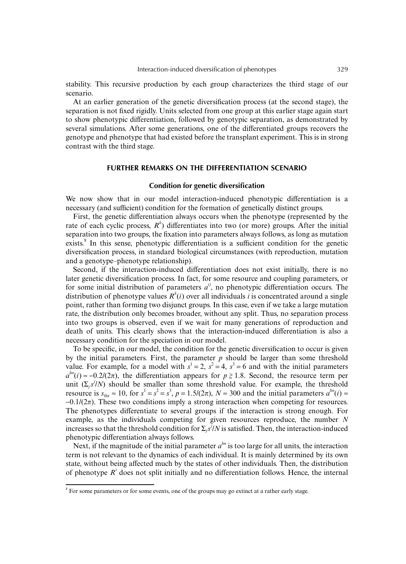stability. This recursive production by each group characterizes the third stage of our scenario.

At an earlier generation of the genetic diversification process (at the second stage), the separation is not fixed rigidly. Units selected from one group at this earlier stage again start to show phenotypic differentiation, followed by genotypic separation, as demonstrated by several simulations. After some generations, one of the differentiated groups recovers the genotype and phenotype that had existed before the transplant experiment. This is in strong contrast with the third stage.

# **FURTHER REMARKS ON THE DIFFERENTIATION SCENARIO**

# **Condition for genetic diversification**

We now show that in our model interaction-induced phenotypic differentiation is a necessary (and sufficient) condition for the formation of genetically distinct groups.

First, the genetic differentiation always occurs when the phenotype (represented by the rate of each cyclic process, *R<sup>k</sup>* ) differentiates into two (or more) groups. After the initial separation into two groups, the fixation into parameters always follows, as long as mutation exists.<sup>8</sup> In this sense, phenotypic differentiation is a sufficient condition for the genetic diversification process, in standard biological circumstances (with reproduction, mutation and a genotype–phenotype relationship).

Second, if the interaction-induced differentiation does not exist initially, there is no later genetic diversification process. In fact, for some resource and coupling parameters, or for some initial distribution of parameters  $a^{ij}$ , no phenotypic differentiation occurs. The distribution of phenotype values  $R^k(i)$  over all individuals *i* is concentrated around a single point, rather than forming two disjunct groups. In this case, even if we take a large mutation rate, the distribution only becomes broader, without any split. Thus, no separation process into two groups is observed, even if we wait for many generations of reproduction and death of units. This clearly shows that the interaction-induced differentiation is also a necessary condition for the speciation in our model.

To be specific, in our model, the condition for the genetic diversification to occur is given by the initial parameters. First, the parameter  $p$  should be larger than some threshold value. For example, for a model with  $s^1 = 2$ ,  $s^2 = 4$ ,  $s^3 = 6$  and with the initial parameters  $a^{lm}(i) \approx -0.2/(2\pi)$ , the differentiation appears for  $p \ge 1.8$ . Second, the resource term per unit  $(\sum_j s^j/N)$  should be smaller than some threshold value. For example, the threshold resource is  $s_{\text{thr}} \approx 10$ , for  $s^1 = s^2 = s^3$ ,  $p = 1.5/(2\pi)$ ,  $N \approx 300$  and the initial parameters  $a^{\text{lm}}(i) \approx$  $-0.1/(2\pi)$ . These two conditions imply a strong interaction when competing for resources. The phenotypes differentiate to several groups if the interaction is strong enough. For example, as the individuals competing for given resources reproduce, the number *N* increases so that the threshold condition for  $\Sigma_j s^j/N$  is satisfied. Then, the interaction-induced phenotypic differentiation always follows.

Next, if the magnitude of the initial parameter  $a^{lm}$  is too large for all units, the interaction term is not relevant to the dynamics of each individual. It is mainly determined by its own state, without being affected much by the states of other individuals. Then, the distribution of phenotype  $R<sup>i</sup>$  does not split initially and no differentiation follows. Hence, the internal

<sup>&</sup>lt;sup>8</sup> For some parameters or for some events, one of the groups may go extinct at a rather early stage.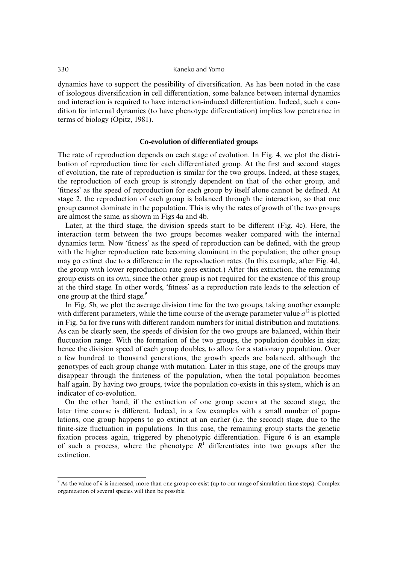dynamics have to support the possibility of diversification. As has been noted in the case of isologous diversification in cell differentiation, some balance between internal dynamics and interaction is required to have interaction-induced differentiation. Indeed, such a condition for internal dynamics (to have phenotype differentiation) implies low penetrance in terms of biology (Opitz, 1981).

# **Co-evolution of differentiated groups**

The rate of reproduction depends on each stage of evolution. In Fig. 4, we plot the distribution of reproduction time for each differentiated group. At the first and second stages of evolution, the rate of reproduction is similar for the two groups. Indeed, at these stages, the reproduction of each group is strongly dependent on that of the other group, and 'fitness' as the speed of reproduction for each group by itself alone cannot be defined. At stage 2, the reproduction of each group is balanced through the interaction, so that one group cannot dominate in the population. This is why the rates of growth of the two groups are almost the same, as shown in Figs 4a and 4b.

Later, at the third stage, the division speeds start to be different (Fig. 4c). Here, the interaction term between the two groups becomes weaker compared with the internal dynamics term. Now 'fitness' as the speed of reproduction can be defined, with the group with the higher reproduction rate becoming dominant in the population; the other group may go extinct due to a difference in the reproduction rates. (In this example, after Fig. 4d, the group with lower reproduction rate goes extinct.) After this extinction, the remaining group exists on its own, since the other group is not required for the existence of this group at the third stage. In other words, 'fitness' as a reproduction rate leads to the selection of one group at the third stage.<sup>9</sup>

In Fig. 5b, we plot the average division time for the two groups, taking another example with different parameters, while the time course of the average parameter value  $a^{12}$  is plotted in Fig. 5a for five runs with different random numbers for initial distribution and mutations. As can be clearly seen, the speeds of division for the two groups are balanced, within their fluctuation range. With the formation of the two groups, the population doubles in size; hence the division speed of each group doubles, to allow for a stationary population. Over a few hundred to thousand generations, the growth speeds are balanced, although the genotypes of each group change with mutation. Later in this stage, one of the groups may disappear through the finiteness of the population, when the total population becomes half again. By having two groups, twice the population co-exists in this system, which is an indicator of co-evolution.

On the other hand, if the extinction of one group occurs at the second stage, the later time course is different. Indeed, in a few examples with a small number of populations, one group happens to go extinct at an earlier (i.e. the second) stage, due to the finite-size fluctuation in populations. In this case, the remaining group starts the genetic fixation process again, triggered by phenotypic differentiation. Figure 6 is an example of such a process, where the phenotype  $R<sup>1</sup>$  differentiates into two groups after the extinction.

<sup>9</sup> As the value of *k* is increased, more than one group co-exist (up to our range of simulation time steps). Complex organization of several species will then be possible.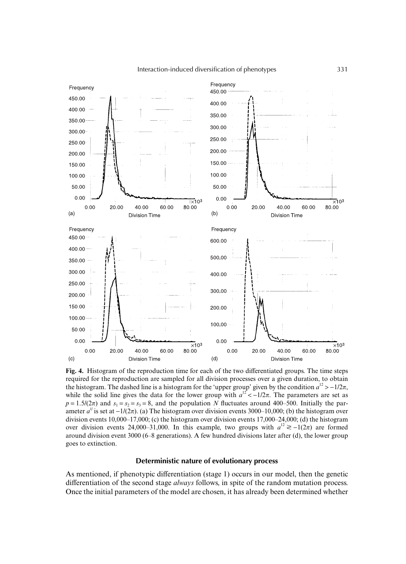

**Fig. 4.** Histogram of the reproduction time for each of the two differentiated groups. The time steps required for the reproduction are sampled for all division processes over a given duration, to obtain the histogram. The dashed line is a histogram for the 'upper group' given by the condition  $a^{12}$  > −1/2 $\pi$ , while the solid line gives the data for the lower group with  $a^{12} < -1/2\pi$ . The parameters are set as  $p = 1.5/(2\pi)$  and  $s_1 = s_2 = s_3 = 8$ , and the population *N* fluctuates around 400–500. Initially the parameter  $a^{ij}$  is set at  $-1/(2\pi)$ . (a) The histogram over division events 3000–10,000; (b) the histogram over division events 10,000–17,000; (c) the histogram over division events 17,000–24,000; (d) the histogram over division events 24,000–31,000. In this example, two groups with  $a^{12} \ge -1(2\pi)$  are formed around division event 3000 (6–8 generations). A few hundred divisions later after (d), the lower group goes to extinction.

## **Deterministic nature of evolutionary process**

As mentioned, if phenotypic differentiation (stage 1) occurs in our model, then the genetic differentiation of the second stage *always* follows, in spite of the random mutation process. Once the initial parameters of the model are chosen, it has already been determined whether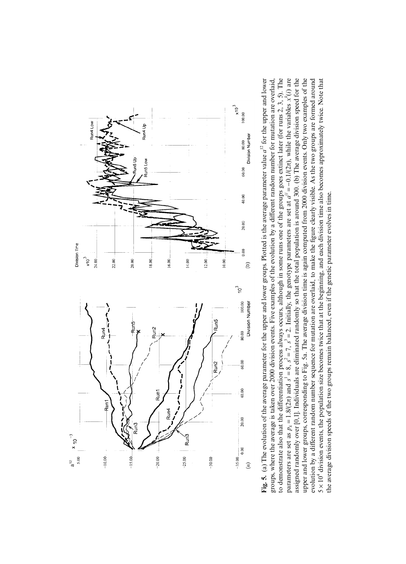

upper and lower groups, corresponding to Fig. 5a. The average division time is again computed from 2000 division events. Only two examples of the to demonstrate also that the differentiation process always occurs, although in some runs one of the groups goes extinct later (for runs 2, 3, 5). The Fig. 5. (a) The evolution of the average parameter for the upper and lower groups. Plotted is the average parameter value  $a^{12}$  for the upper and lower **Fig. 5.** (a) The evolution of the average parameter for the upper and lower groups. Plotted is the average parameter value *a*12 for the upper and lower fferentiation process always occurs, although in some runs one of the groups goes extinct later (for runs 2, 3, 5). The (*i*) are assigned randomly over [0,1]. Individuals are eliminated randomly so that the total population is around 300. (b) The average division speed for the upper and lower groups, corresponding to Fig. 5a. The average division time is again computed from 2000 division events. Only two examples of the evolution by a different random number sequence for mutation are overlaid, to make the figure clearly visible. As the two groups are formed around figure clearly visible. As the two groups are formed around 5 × 10<sup>4</sup> division events, the population size becomes twice that at the beginning, and each division time also becomes approximately twice. Note that 5 × 10<sup>4</sup> division events, the population size becomes twice that at the beginning, and each division time also becomes approximately twice. Note that groups, where the average is taken over 2000 division events. Five examples of the evolution by a different random number for mutation are overlaid, fferent random number for mutation are overlaid, *xk*  $\pi$ ), while the variables  $= 2$ . Initially, the genotype parameters are set at  $a^{ij} = -0.1/(2)$ the average division speeds of the two groups remain balanced, even if the genetic parameter evolves in time. the average division speeds of the two groups remain balanced, even if the genetic parameter evolves in time.groups, where the average is taken over 2000 division events. Five examples of the evolution by a di fferent random number sequence for mutation are overlaid, to make the  $\pi$ ) and  $s' = 8$ ,  $s^2 = 7$ ,  $s^3$  $p_k = 1.8/2$ to demonstrate also that the di parameters are set as evolution by a di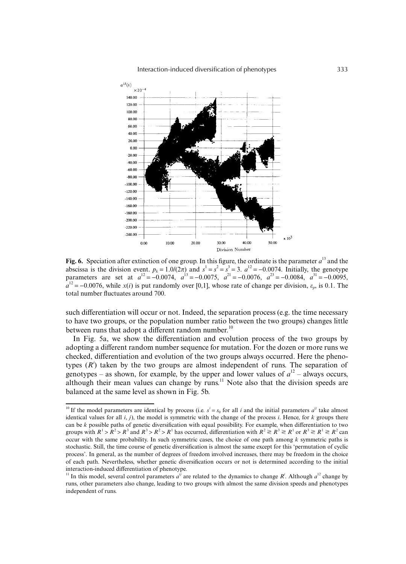

**Fig. 6.** Speciation after extinction of one group. In this figure, the ordinate is the parameter  $a<sup>13</sup>$  and the abscissa is the division event.  $p_k = 1.0/(2\pi)$  and  $s^1 = s^2 = s^3 = 3$ .  $a^{12} = -0.0074$ . Initially, the genotype parameters are set at  $a^{12} = -0.0074$ ,  $a^{13} = -0.0075$ ,  $a^{21} = -0.0076$ ,  $a^{23} = -0.0084$ ,  $a^{31} = -0.0095$ ,  $a^{12} = -0.0076$ , while *x*(*i*) is put randomly over [0,1], whose rate of change per division,  $\varepsilon_p$ , is 0.1. The total number fluctuates around 700.

such differentiation will occur or not. Indeed, the separation process (e.g. the time necessary to have two groups, or the population number ratio between the two groups) changes little between runs that adopt a different random number.<sup>10</sup>

In Fig. 5a, we show the differentiation and evolution process of the two groups by adopting a different random number sequence for mutation. For the dozen or more runs we checked, differentiation and evolution of the two groups always occurred. Here the phenotypes  $(R<sup>i</sup>)$  taken by the two groups are almost independent of runs. The separation of genotypes – as shown, for example, by the upper and lower values of  $a^{12}$  – always occurs, although their mean values can change by runs.<sup>11</sup> Note also that the division speeds are balanced at the same level as shown in Fig. 5b.

<sup>&</sup>lt;sup>10</sup> If the model parameters are identical by process (i.e.  $s^i = s_0$  for all *i* and the initial parameters  $a^{ij}$  take almost identical values for all  $i$ ,  $j$ ), the model is symmetric with the change of the process  $i$ . Hence, for  $k$  groups there can be *k* possible paths of genetic diversification with equal possibility. For example, when differentiation to two groups with  $R^1 > R^2 > R^3$  and  $R^3 > R^2 > R^1$  has occurred, differentiation with  $R^2 \ge R^3 \ge R^1$  or  $R^3 \ge R^1 \ge R^2$  can occur with the same probability. In such symmetric cases, the choice of one path among *k* symmetric paths is stochastic. Still, the time course of genetic diversification is almost the same except for this 'permutation of cyclic process'. In general, as the number of degrees of freedom involved increases, there may be freedom in the choice of each path. Nevertheless, whether genetic diversification occurs or not is determined according to the initial interaction-induced differentiation of phenotype.

<sup>&</sup>lt;sup>11</sup> In this model, several control parameters  $a^{ij}$  are related to the dynamics to change  $R^i$ . Although  $a^{12}$  change by runs, other parameters also change, leading to two groups with almost the same division speeds and phenotypes independent of runs.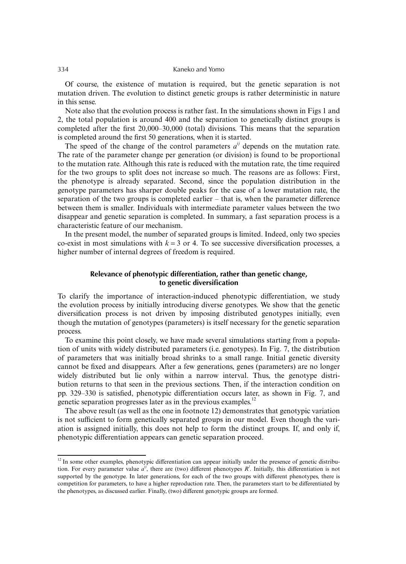Of course, the existence of mutation is required, but the genetic separation is not mutation driven. The evolution to distinct genetic groups is rather deterministic in nature in this sense.

Note also that the evolution process is rather fast. In the simulations shown in Figs 1 and 2, the total population is around 400 and the separation to genetically distinct groups is completed after the first 20,000–30,000 (total) divisions. This means that the separation is completed around the first 50 generations, when it is started.

The speed of the change of the control parameters  $a^{ij}$  depends on the mutation rate. The rate of the parameter change per generation (or division) is found to be proportional to the mutation rate. Although this rate is reduced with the mutation rate, the time required for the two groups to split does not increase so much. The reasons are as follows: First, the phenotype is already separated. Second, since the population distribution in the genotype parameters has sharper double peaks for the case of a lower mutation rate, the separation of the two groups is completed earlier – that is, when the parameter difference between them is smaller. Individuals with intermediate parameter values between the two disappear and genetic separation is completed. In summary, a fast separation process is a characteristic feature of our mechanism.

In the present model, the number of separated groups is limited. Indeed, only two species co-exist in most simulations with  $k = 3$  or 4. To see successive diversification processes, a higher number of internal degrees of freedom is required.

# **Relevance of phenotypic differentiation, rather than genetic change, to genetic diversification**

To clarify the importance of interaction-induced phenotypic differentiation, we study the evolution process by initially introducing diverse genotypes. We show that the genetic diversification process is not driven by imposing distributed genotypes initially, even though the mutation of genotypes (parameters) is itself necessary for the genetic separation process.

To examine this point closely, we have made several simulations starting from a population of units with widely distributed parameters (i.e. genotypes). In Fig. 7, the distribution of parameters that was initially broad shrinks to a small range. Initial genetic diversity cannot be fixed and disappears. After a few generations, genes (parameters) are no longer widely distributed but lie only within a narrow interval. Thus, the genotype distribution returns to that seen in the previous sections. Then, if the interaction condition on pp. 329–330 is satisfied, phenotypic differentiation occurs later, as shown in Fig. 7, and genetic separation progresses later as in the previous examples.<sup>12</sup>

The above result (as well as the one in footnote 12) demonstrates that genotypic variation is not sufficient to form genetically separated groups in our model. Even though the variation is assigned initially, this does not help to form the distinct groups. If, and only if, phenotypic differentiation appears can genetic separation proceed.

<sup>&</sup>lt;sup>12</sup> In some other examples, phenotypic differentiation can appear initially under the presence of genetic distribution. For every parameter value  $a^{ij}$ , there are (two) different phenotypes  $R^i$ . Initially, this differentiation is not supported by the genotype. In later generations, for each of the two groups with different phenotypes, there is competition for parameters, to have a higher reproduction rate. Then, the parameters start to be differentiated by the phenotypes, as discussed earlier. Finally, (two) different genotypic groups are formed.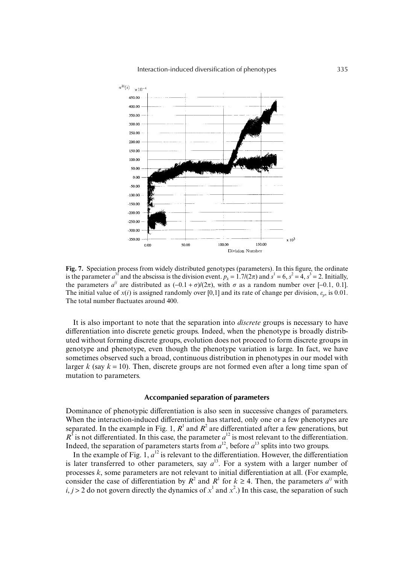

**Fig. 7.** Speciation process from widely distributed genotypes (parameters). In this figure, the ordinate is the parameter  $a^{31}$  and the abscissa is the division event.  $p_k = 1.7/(2\pi)$  and  $s^1 = 6$ ,  $s^2 = 4$ ,  $s^3 = 2$ . Initially, the parameters  $a^{ij}$  are distributed as  $(-0.1 + \sigma)/(2\pi)$ , with  $\sigma$  as a random number over [-0.1, 0.1]. The initial value of  $x(i)$  is assigned randomly over [0,1] and its rate of change per division,  $\varepsilon_p$ , is 0.01. The total number fluctuates around 400.

It is also important to note that the separation into *discrete* groups is necessary to have differentiation into discrete genetic groups. Indeed, when the phenotype is broadly distributed without forming discrete groups, evolution does not proceed to form discrete groups in genotype and phenotype, even though the phenotype variation is large. In fact, we have sometimes observed such a broad, continuous distribution in phenotypes in our model with larger  $k$  (say  $k = 10$ ). Then, discrete groups are not formed even after a long time span of mutation to parameters.

## **Accompanied separation of parameters**

Dominance of phenotypic differentiation is also seen in successive changes of parameters. When the interaction-induced differentiation has started, only one or a few phenotypes are separated. In the example in Fig. 1,  $R<sup>1</sup>$  and  $R<sup>2</sup>$  are differentiated after a few generations, but  $R<sup>3</sup>$  is not differentiated. In this case, the parameter  $a<sup>12</sup>$  is most relevant to the differentiation. Indeed, the separation of parameters starts from  $a^{12}$ , before  $a^{13}$  splits into two groups.

In the example of Fig. 1,  $a^{12}$  is relevant to the differentiation. However, the differentiation is later transferred to other parameters, say  $a^{13}$ . For a system with a larger number of processes *k*, some parameters are not relevant to initial differentiation at all. (For example, consider the case of differentiation by  $R^2$  and  $R^1$  for  $k \ge 4$ . Then, the parameters  $a^{ij}$  with  $i, j > 2$  do not govern directly the dynamics of  $x<sup>1</sup>$  and  $x<sup>2</sup>$ .) In this case, the separation of such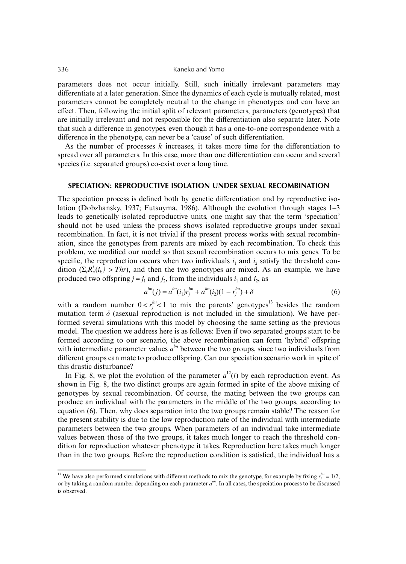parameters does not occur initially. Still, such initially irrelevant parameters may differentiate at a later generation. Since the dynamics of each cycle is mutually related, most parameters cannot be completely neutral to the change in phenotypes and can have an effect. Then, following the initial split of relevant parameters, parameters (genotypes) that are initially irrelevant and not responsible for the differentiation also separate later. Note that such a difference in genotypes, even though it has a one-to-one correspondence with a difference in the phenotype, can never be a 'cause' of such differentiation.

As the number of processes *k* increases, it takes more time for the differentiation to spread over all parameters. In this case, more than one differentiation can occur and several species (i.e. separated groups) co-exist over a long time.

## **SPECIATION: REPRODUCTIVE ISOLATION UNDER SEXUAL RECOMBINATION**

The speciation process is defined both by genetic differentiation and by reproductive isolation (Dobzhansky, 1937; Futsuyma, 1986). Although the evolution through stages 1–3 leads to genetically isolated reproductive units, one might say that the term 'speciation' should not be used unless the process shows isolated reproductive groups under sexual recombination. In fact, it is not trivial if the present process works with sexual recombination, since the genotypes from parents are mixed by each recombination. To check this problem, we modified our model so that sexual recombination occurs to mix genes. To be specific, the reproduction occurs when two individuals  $i_1$  and  $i_2$  satisfy the threshold condition  $(\Sigma_l R_n^l(i_k) > Thr)$ , and then the two genotypes are mixed. As an example, we have produced two offspring  $j = j_1$  and  $j_2$ , from the individuals  $i_1$  and  $i_2$ , as

$$
a^{lm}(j) = a^{lm}(i_1)r_j^{lm} + a^{lm}(i_2)(1 - r_j^{lm}) + \delta
$$
\n(6)

with a random number  $0 < r_j^{lm} < 1$  to mix the parents' genotypes<sup>13</sup> besides the random mutation term  $\delta$  (asexual reproduction is not included in the simulation). We have performed several simulations with this model by choosing the same setting as the previous model. The question we address here is as follows: Even if two separated groups start to be formed according to our scenario, the above recombination can form 'hybrid' offspring with intermediate parameter values  $a<sup>lm</sup>$  between the two groups, since two individuals from different groups can mate to produce offspring. Can our speciation scenario work in spite of this drastic disturbance?

In Fig. 8, we plot the evolution of the parameter  $a^{12}(i)$  by each reproduction event. As shown in Fig. 8, the two distinct groups are again formed in spite of the above mixing of genotypes by sexual recombination. Of course, the mating between the two groups can produce an individual with the parameters in the middle of the two groups, according to equation (6). Then, why does separation into the two groups remain stable? The reason for the present stability is due to the low reproduction rate of the individual with intermediate parameters between the two groups. When parameters of an individual take intermediate values between those of the two groups, it takes much longer to reach the threshold condition for reproduction whatever phenotype it takes. Reproduction here takes much longer than in the two groups. Before the reproduction condition is satisfied, the individual has a

<sup>&</sup>lt;sup>13</sup> We have also performed simulations with different methods to mix the genotype, for example by fixing  $r_j^{lm} = 1/2$ , or by taking a random number depending on each parameter  $a^{lm}$ . In all cases, the speciation process to be discussed is observed.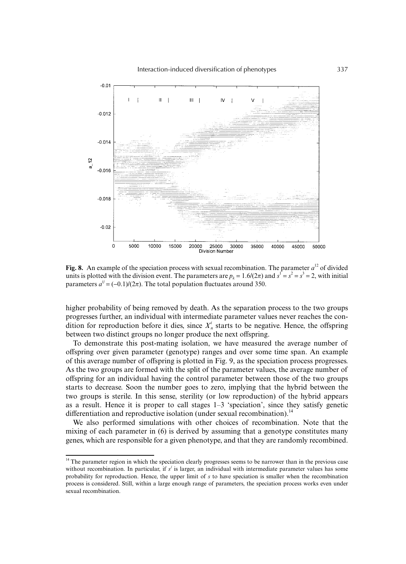

**Fig. 8.** An example of the speciation process with sexual recombination. The parameter  $a^{12}$  of divided units is plotted with the division event. The parameters are  $p_k = 1.6/(2\pi)$  and  $s^1 = s^2 = s^3 = 2$ , with initial parameters  $a^{ij} = (-0.1)/(2\pi)$ . The total population fluctuates around 350.

higher probability of being removed by death. As the separation process to the two groups progresses further, an individual with intermediate parameter values never reaches the condition for reproduction before it dies, since  $X^i$  starts to be negative. Hence, the offspring between two distinct groups no longer produce the next offspring.

To demonstrate this post-mating isolation, we have measured the average number of offspring over given parameter (genotype) ranges and over some time span. An example of this average number of offspring is plotted in Fig. 9, as the speciation process progresses. As the two groups are formed with the split of the parameter values, the average number of offspring for an individual having the control parameter between those of the two groups starts to decrease. Soon the number goes to zero, implying that the hybrid between the two groups is sterile. In this sense, sterility (or low reproduction) of the hybrid appears as a result. Hence it is proper to call stages 1–3 'speciation', since they satisfy genetic differentiation and reproductive isolation (under sexual recombination).<sup>14</sup>

We also performed simulations with other choices of recombination. Note that the mixing of each parameter in (6) is derived by assuming that a genotype constitutes many genes, which are responsible for a given phenotype, and that they are randomly recombined.

<sup>&</sup>lt;sup>14</sup> The parameter region in which the speciation clearly progresses seems to be narrower than in the previous case without recombination. In particular, if  $s^j$  is larger, an individual with intermediate parameter values has some probability for reproduction. Hence, the upper limit of *s* to have speciation is smaller when the recombination process is considered. Still, within a large enough range of parameters, the speciation process works even under sexual recombination.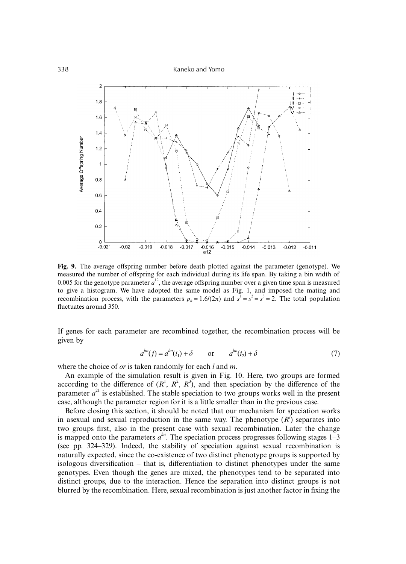338 Kaneko and Yomo



**Fig. 9.** The average offspring number before death plotted against the parameter (genotype). We measured the number of offspring for each individual during its life span. By taking a bin width of 0.005 for the genotype parameter  $a^{12}$ , the average offspring number over a given time span is measured to give a histogram. We have adopted the same model as Fig. 1, and imposed the mating and recombination process, with the parameters  $p_k = 1.6/(2\pi)$  and  $s^1 = s^2 = s^3 = 2$ . The total population fluctuates around 350.

If genes for each parameter are recombined together, the recombination process will be given by

$$
a^{lm}(j) = a^{lm}(i_1) + \delta \qquad \text{or} \qquad a^{lm}(i_2) + \delta \tag{7}
$$

where the choice of *or* is taken randomly for each *l* and *m*.

An example of the simulation result is given in Fig. 10. Here, two groups are formed according to the difference of  $(R^1, R^2, R^3)$ , and then speciation by the difference of the parameter  $a^{21}$  is established. The stable speciation to two groups works well in the present case, although the parameter region for it is a little smaller than in the previous case.

Before closing this section, it should be noted that our mechanism for speciation works in asexual and sexual reproduction in the same way. The phenotype  $(R<sup>j</sup>)$  separates into two groups first, also in the present case with sexual recombination. Later the change is mapped onto the parameters  $a^{lm}$ . The speciation process progresses following stages  $1-3$ (see pp. 324–329). Indeed, the stability of speciation against sexual recombination is naturally expected, since the co-existence of two distinct phenotype groups is supported by isologous diversification – that is, differentiation to distinct phenotypes under the same genotypes. Even though the genes are mixed, the phenotypes tend to be separated into distinct groups, due to the interaction. Hence the separation into distinct groups is not blurred by the recombination. Here, sexual recombination is just another factor in fixing the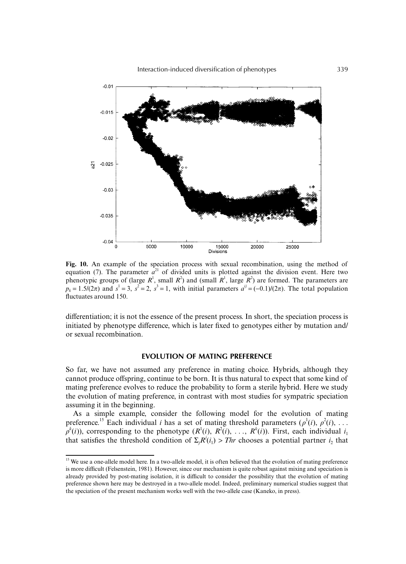

**Fig. 10.** An example of the speciation process with sexual recombination, using the method of equation (7). The parameter  $a^{21}$  of divided units is plotted against the division event. Here two phenotypic groups of (large  $R<sup>1</sup>$ , small  $R<sup>2</sup>$ ) and (small  $R<sup>1</sup>$ , large  $R<sup>2</sup>$ ) are formed. The parameters are  $p_k = 1.5/(2\pi)$  and  $s^1 = 3$ ,  $s^2 = 2$ ,  $s^3 = 1$ , with initial parameters  $a^{ij} = (-0.1)/(2\pi)$ . The total population fluctuates around 150.

differentiation; it is not the essence of the present process. In short, the speciation process is initiated by phenotype difference, which is later fixed to genotypes either by mutation and/ or sexual recombination.

## **EVOLUTION OF MATING PREFERENCE**

So far, we have not assumed any preference in mating choice. Hybrids, although they cannot produce offspring, continue to be born. It is thus natural to expect that some kind of mating preference evolves to reduce the probability to form a sterile hybrid. Here we study the evolution of mating preference, in contrast with most studies for sympatric speciation assuming it in the beginning.

As a simple example, consider the following model for the evolution of mating preference.<sup>15</sup> Each individual *i* has a set of mating threshold parameters  $(\rho^1(i), \rho^2(i), \ldots)$  $\rho^{k}(i)$ ), corresponding to the phenotype  $(R^{1}(i), R^{2}(i), \ldots, R^{k}(i)$ ). First, each individual  $i_1$ that satisfies the threshold condition of  $\Sigma_j R^i(i_1) > Thr$  chooses a potential partner  $i_2$  that

<sup>&</sup>lt;sup>15</sup> We use a one-allele model here. In a two-allele model, it is often believed that the evolution of mating preference is more difficult (Felsenstein, 1981). However, since our mechanism is quite robust against mixing and speciation is already provided by post-mating isolation, it is difficult to consider the possibility that the evolution of mating preference shown here may be destroyed in a two-allele model. Indeed, preliminary numerical studies suggest that the speciation of the present mechanism works well with the two-allele case (Kaneko, in press).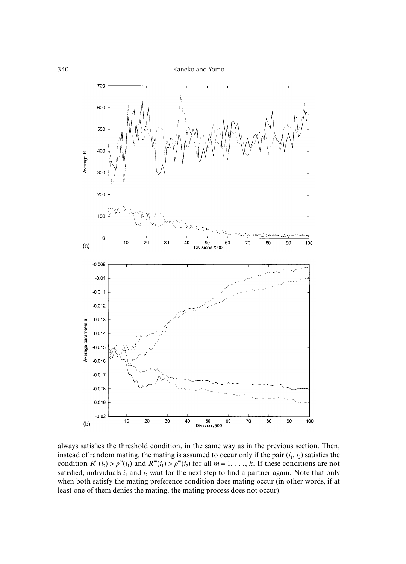

always satisfies the threshold condition, in the same way as in the previous section. Then, instead of random mating, the mating is assumed to occur only if the pair  $(i_1, i_2)$  satisfies the condition  $R^m(i_2) > \rho^m(i_1)$  and  $R^m(i_1) > \rho^m(i_2)$  for all  $m = 1, \ldots, k$ . If these conditions are not satisfied, individuals  $i_1$  and  $i_2$  wait for the next step to find a partner again. Note that only when both satisfy the mating preference condition does mating occur (in other words, if at least one of them denies the mating, the mating process does not occur).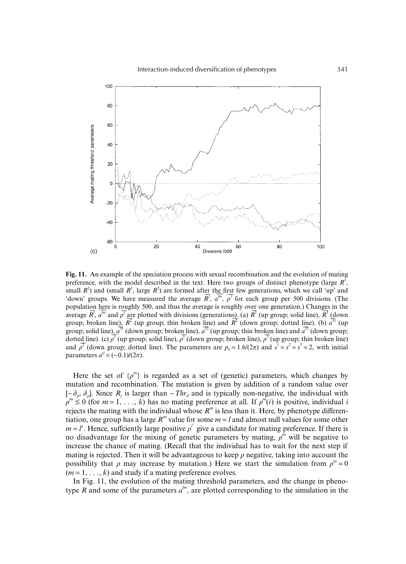

**Fig. 11.** An example of the speciation process with sexual recombination and the evolution of mating preference, with the model described in the text. Here two groups of distinct phenotype (large  $R<sup>1</sup>$ , small  $R^2$ ) and (small  $R^1$ , large  $R^2$ ) are formed after the first few generations, which we call 'up' and 'down' groups. We have measured the average  $\overline{R}^j$ ,  $a^{lm}$ ,  $\overline{\rho}^j$  for each group per 500 divisions. (The population here is roughly 500, and thus the average is roughly over one generation.) Changes in the average  $R^j$ ,  $a^{lm}$  and  $\rho^j$  are plotted with divisions (generations). (a)  $R^1$  (up group; solid line),  $R^1$  (down group; broken line),  $\overline{R}^2$  (up group; thin broken line) and  $\overline{R}^2$  (down group; dotted line). (b)  $\overline{a}^{31}$  (up group; solid line),  $a^{31}$  (down group; broken line),  $a^{32}$  (up group; thin broken line) and  $a^{32}$  (down group; dotted line). (c)  $\rho^1$  (up group; solid line),  $\rho^1$  (down group; broken line),  $\rho^2$  (up group; thin broken line) and  $\rho^2$  (down group; dotted line). The parameters are  $p_k = 1.6/(2\pi)$  and  $s^1 = s^2 = s^3 = 2$ , with initial parameters  $a^{ij}$  = (−0.1)/(2π).

Here the set of  $\{p^m\}$  is regarded as a set of (genetic) parameters, which changes by mutation and recombination. The mutation is given by addition of a random value over  $[-\delta_{\rho}, \delta_{\rho}]$ . Since  $R_j$  is larger than  $-Thr_d$  and is typically non-negative, the individual with  $\rho^m \leq 0$  (for  $m = 1, \ldots, k$ ) has no mating preference at all. If  $\rho^m(i)$  is positive, individual *i* rejects the mating with the individual whose  $R^m$  is less than it. Here, by phenotype differentiation, one group has a large  $R^m$  value for some  $m = l$  and almost null values for some other  $m = l'$ . Hence, sufficently large positive  $\rho^{l'}$  give a candidate for mating preference. If there is no disadvantage for the mixing of genetic parameters by mating, ρ *m* will be negative to increase the chance of mating. (Recall that the individual has to wait for the next step if mating is rejected. Then it will be advantageous to keep  $\rho$  negative, taking into account the possibility that  $\rho$  may increase by mutation.) Here we start the simulation from  $\rho^m = 0$  $(m = 1, \ldots, k)$  and study if a mating preference evolves.

In Fig. 11, the evolution of the mating threshold parameters, and the change in phenotype *R* and some of the parameters  $a^{lm}$ , are plotted corresponding to the simulation in the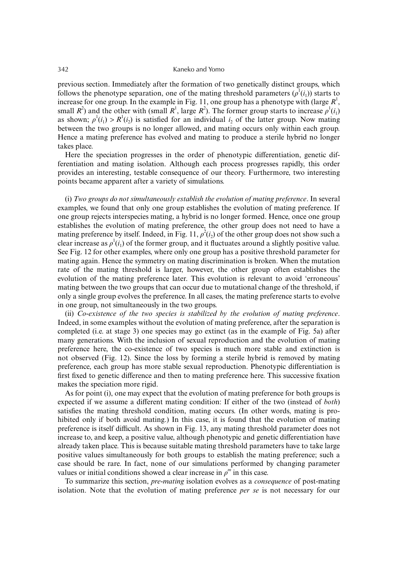previous section. Immediately after the formation of two genetically distinct groups, which follows the phenotype separation, one of the mating threshold parameters  $(\rho^1(i_1))$  starts to increase for one group. In the example in Fig. 11, one group has a phenotype with (large  $R<sup>1</sup>$ , small  $R^2$ ) and the other with (small  $R^1$ , large  $R^2$ ). The former group starts to increase  $\rho^1(i_1)$ as shown;  $\rho^1(i_1) > R^1(i_2)$  is satisfied for an individual  $i_2$  of the latter group. Now mating between the two groups is no longer allowed, and mating occurs only within each group. Hence a mating preference has evolved and mating to produce a sterile hybrid no longer takes place.

Here the speciation progresses in the order of phenotypic differentiation, genetic differentiation and mating isolation. Although each process progresses rapidly, this order provides an interesting, testable consequence of our theory. Furthermore, two interesting points became apparent after a variety of simulations.

(i) *Two groups do not simultaneously establish the evolution of mating preference*. In several examples, we found that only one group establishes the evolution of mating preference. If one group rejects interspecies mating, a hybrid is no longer formed. Hence, once one group establishes the evolution of mating preference, the other group does not need to have a mating preference by itself. Indeed, in Fig. 11,  $\rho^2(i_2)$  of the other group does not show such a clear increase as  $\rho^l(i_l)$  of the former group, and it fluctuates around a slightly positive value. See Fig. 12 for other examples, where only one group has a positive threshold parameter for mating again. Hence the symmetry on mating discrimination is broken. When the mutation rate of the mating threshold is larger, however, the other group often establishes the evolution of the mating preference later. This evolution is relevant to avoid 'erroneous' mating between the two groups that can occur due to mutational change of the threshold, if only a single group evolves the preference. In all cases, the mating preference starts to evolve in one group, not simultaneously in the two groups.

(ii) *Co-existence of the two species is stabilized by the evolution of mating preference*. Indeed, in some examples without the evolution of mating preference, after the separation is completed (i.e. at stage 3) one species may go extinct (as in the example of Fig. 5a) after many generations. With the inclusion of sexual reproduction and the evolution of mating preference here, the co-existence of two species is much more stable and extinction is not observed (Fig. 12). Since the loss by forming a sterile hybrid is removed by mating preference, each group has more stable sexual reproduction. Phenotypic differentiation is first fixed to genetic difference and then to mating preference here. This successive fixation makes the speciation more rigid.

As for point (i), one may expect that the evolution of mating preference for both groups is expected if we assume a different mating condition: If either of the two (instead of *both*) satisfies the mating threshold condition, mating occurs. (In other words, mating is prohibited only if both avoid mating.) In this case, it is found that the evolution of mating preference is itself difficult. As shown in Fig. 13, any mating threshold parameter does not increase to, and keep, a positive value, although phenotypic and genetic differentiation have already taken place. This is because suitable mating threshold parameters have to take large positive values simultaneously for both groups to establish the mating preference; such a case should be rare. In fact, none of our simulations performed by changing parameter values or initial conditions showed a clear increase in  $\rho^m$  in this case.

To summarize this section, *pre-mating* isolation evolves as a *consequence* of post-mating isolation. Note that the evolution of mating preference *per se* is not necessary for our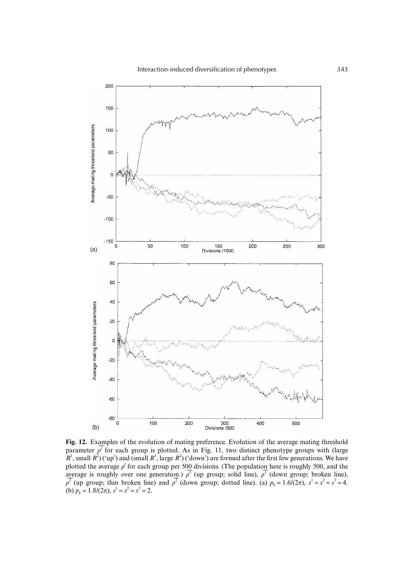

**Fig. 12.** Examples of the evolution of mating preference. Evolution of the average mating threshold parameter  $\rho^j$  for each group is plotted. As in Fig. 11, two distinct phenotype groups with (large  $R^1$ , small  $R^2$ ) ('up') and (small  $R^1$ , large  $R^2$ ) ('down') are formed after the first few generations. We have plotted the average  $\rho'$  for each group per 500 divisions. (The population here is roughly 500, and the average is roughly over one generation.)  $\rho^1$  (up group; solid line),  $\rho^1$  (down group; broken line),  $\rho^2$  (up group; thin broken line) and  $\rho^2$  (down group; dotted line). (a)  $p_k = 1.6/(2\pi)$ ,  $s^1 = s^2 = s^3 = 4$ . (b)  $p_k = 1.8/(2\pi), s^1 = s^2 = s^3 = 2.$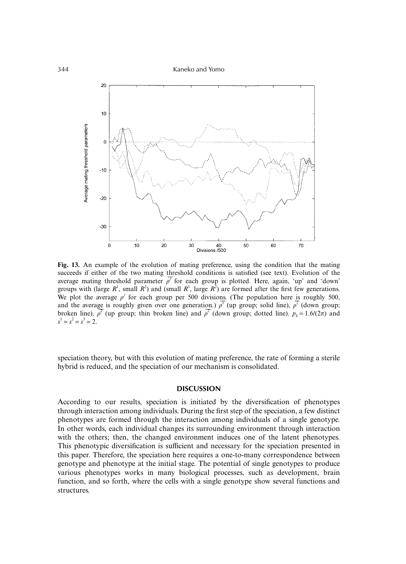344 Kaneko and Yomo



**Fig. 13.** An example of the evolution of mating preference, using the condition that the mating succeeds if either of the two mating threshold conditions is satisfied (see text). Evolution of the average mating threshold parameter  $\rho^f$  for each group is plotted. Here, again, 'up' and 'down' groups with (large  $R<sup>1</sup>$ , small  $R<sup>2</sup>$ ) and (small  $R<sup>1</sup>$ , large  $R<sup>2</sup>$ ) are formed after the first few generations. We plot the average  $\rho^j$  for each group per 500 divisions. (The population here is roughly 500, and the average is roughly given over one generation.)  $\rho^T$  (up group; solid line),  $\rho^T$  (down group; broken line),  $\rho^2$  (up group; thin broken line) and  $\rho^2$  (down group; dotted line).  $p_k = 1.6/(2\pi)$  and  $s^1 = s^2 = s^3 = 2.$ 

speciation theory, but with this evolution of mating preference, the rate of forming a sterile hybrid is reduced, and the speciation of our mechanism is consolidated.

## **DISCUSSION**

According to our results, speciation is initiated by the diversification of phenotypes through interaction among individuals. During the first step of the speciation, a few distinct phenotypes are formed through the interaction among individuals of a single genotype. In other words, each individual changes its surrounding environment through interaction with the others; then, the changed environment induces one of the latent phenotypes. This phenotypic diversification is sufficient and necessary for the speciation presented in this paper. Therefore, the speciation here requires a one-to-many correspondence between genotype and phenotype at the initial stage. The potential of single genotypes to produce various phenotypes works in many biological processes, such as development, brain function, and so forth, where the cells with a single genotype show several functions and structures.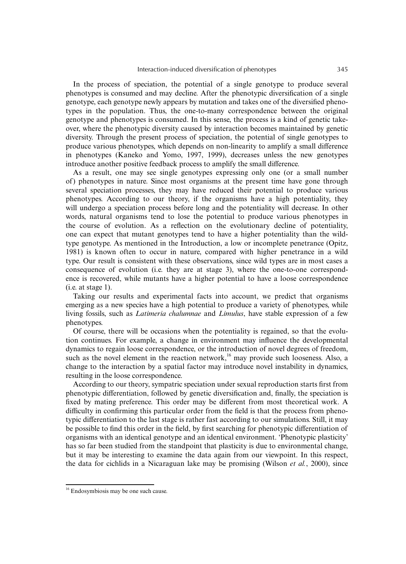In the process of speciation, the potential of a single genotype to produce several phenotypes is consumed and may decline. After the phenotypic diversification of a single genotype, each genotype newly appears by mutation and takes one of the diversified phenotypes in the population. Thus, the one-to-many correspondence between the original genotype and phenotypes is consumed. In this sense, the process is a kind of genetic takeover, where the phenotypic diversity caused by interaction becomes maintained by genetic diversity. Through the present process of speciation, the potential of single genotypes to produce various phenotypes, which depends on non-linearity to amplify a small difference in phenotypes (Kaneko and Yomo, 1997, 1999), decreases unless the new genotypes introduce another positive feedback process to amplify the small difference.

As a result, one may see single genotypes expressing only one (or a small number of) phenotypes in nature. Since most organisms at the present time have gone through several speciation processes, they may have reduced their potential to produce various phenotypes. According to our theory, if the organisms have a high potentiality, they will undergo a speciation process before long and the potentiality will decrease. In other words, natural organisms tend to lose the potential to produce various phenotypes in the course of evolution. As a reflection on the evolutionary decline of potentiality, one can expect that mutant genotypes tend to have a higher potentiality than the wildtype genotype. As mentioned in the Introduction, a low or incomplete penetrance (Opitz, 1981) is known often to occur in nature, compared with higher penetrance in a wild type. Our result is consistent with these observations, since wild types are in most cases a consequence of evolution (i.e. they are at stage 3), where the one-to-one correspondence is recovered, while mutants have a higher potential to have a loose correspondence (i.e. at stage 1).

Taking our results and experimental facts into account, we predict that organisms emerging as a new species have a high potential to produce a variety of phenotypes, while living fossils, such as *Latimeria chalumnae* and *Limulus*, have stable expression of a few phenotypes.

Of course, there will be occasions when the potentiality is regained, so that the evolution continues. For example, a change in environment may influence the developmental dynamics to regain loose correspondence, or the introduction of novel degrees of freedom, such as the novel element in the reaction network, $16$  may provide such looseness. Also, a change to the interaction by a spatial factor may introduce novel instability in dynamics, resulting in the loose correspondence.

According to our theory, sympatric speciation under sexual reproduction starts first from phenotypic differentiation, followed by genetic diversification and, finally, the speciation is fixed by mating preference. This order may be different from most theoretical work. A difficulty in confirming this particular order from the field is that the process from phenotypic differentiation to the last stage is rather fast according to our simulations. Still, it may be possible to find this order in the field, by first searching for phenotypic differentiation of organisms with an identical genotype and an identical environment. 'Phenotypic plasticity' has so far been studied from the standpoint that plasticity is due to environmental change, but it may be interesting to examine the data again from our viewpoint. In this respect, the data for cichlids in a Nicaraguan lake may be promising (Wilson *et al.*, 2000), since

<sup>&</sup>lt;sup>16</sup> Endosymbiosis may be one such cause.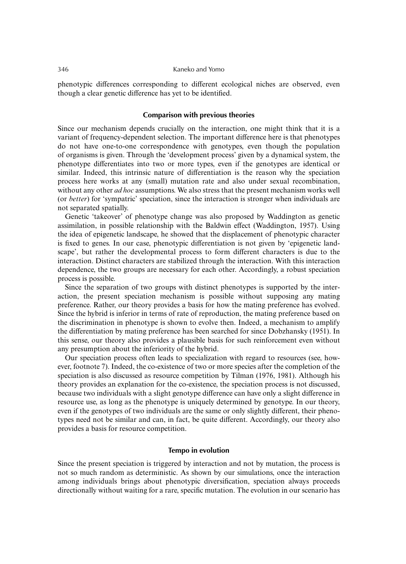phenotypic differences corresponding to different ecological niches are observed, even though a clear genetic difference has yet to be identified.

## **Comparison with previous theories**

Since our mechanism depends crucially on the interaction, one might think that it is a variant of frequency-dependent selection. The important difference here is that phenotypes do not have one-to-one correspondence with genotypes, even though the population of organisms is given. Through the 'development process' given by a dynamical system, the phenotype differentiates into two or more types, even if the genotypes are identical or similar. Indeed, this intrinsic nature of differentiation is the reason why the speciation process here works at any (small) mutation rate and also under sexual recombination, without any other *ad hoc* assumptions. We also stress that the present mechanism works well (or *better*) for 'sympatric' speciation, since the interaction is stronger when individuals are not separated spatially.

Genetic 'takeover' of phenotype change was also proposed by Waddington as genetic assimilation, in possible relationship with the Baldwin effect (Waddington, 1957). Using the idea of epigenetic landscape, he showed that the displacement of phenotypic character is fixed to genes. In our case, phenotypic differentiation is not given by 'epigenetic landscape', but rather the developmental process to form different characters is due to the interaction. Distinct characters are stabilized through the interaction. With this interaction dependence, the two groups are necessary for each other. Accordingly, a robust speciation process is possible.

Since the separation of two groups with distinct phenotypes is supported by the interaction, the present speciation mechanism is possible without supposing any mating preference. Rather, our theory provides a basis for how the mating preference has evolved. Since the hybrid is inferior in terms of rate of reproduction, the mating preference based on the discrimination in phenotype is shown to evolve then. Indeed, a mechanism to amplify the differentiation by mating preference has been searched for since Dobzhansky (1951). In this sense, our theory also provides a plausible basis for such reinforcement even without any presumption about the inferiority of the hybrid.

Our speciation process often leads to specialization with regard to resources (see, however, footnote 7). Indeed, the co-existence of two or more species after the completion of the speciation is also discussed as resource competition by Tilman (1976, 1981). Although his theory provides an explanation for the co-existence, the speciation process is not discussed, because two individuals with a slight genotype difference can have only a slight difference in resource use, as long as the phenotype is uniquely determined by genotype. In our theory, even if the genotypes of two individuals are the same or only slightly different, their phenotypes need not be similar and can, in fact, be quite different. Accordingly, our theory also provides a basis for resource competition.

## **Tempo in evolution**

Since the present speciation is triggered by interaction and not by mutation, the process is not so much random as deterministic. As shown by our simulations, once the interaction among individuals brings about phenotypic diversification, speciation always proceeds directionally without waiting for a rare, specific mutation. The evolution in our scenario has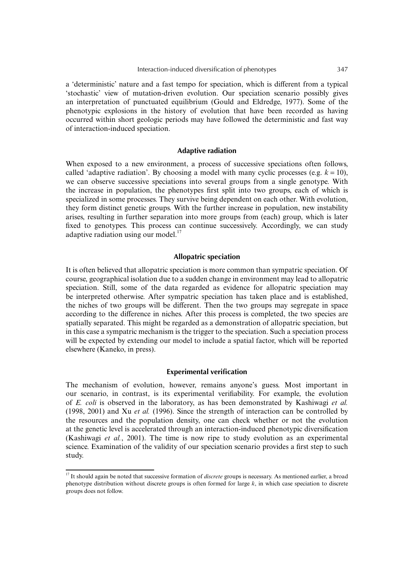a 'deterministic' nature and a fast tempo for speciation, which is different from a typical 'stochastic' view of mutation-driven evolution. Our speciation scenario possibly gives an interpretation of punctuated equilibrium (Gould and Eldredge, 1977). Some of the phenotypic explosions in the history of evolution that have been recorded as having occurred within short geologic periods may have followed the deterministic and fast way of interaction-induced speciation.

## **Adaptive radiation**

When exposed to a new environment, a process of successive speciations often follows, called 'adaptive radiation'. By choosing a model with many cyclic processes (e.g.  $k = 10$ ), we can observe successive speciations into several groups from a single genotype. With the increase in population, the phenotypes first split into two groups, each of which is specialized in some processes. They survive being dependent on each other. With evolution, they form distinct genetic groups. With the further increase in population, new instability arises, resulting in further separation into more groups from (each) group, which is later fixed to genotypes. This process can continue successively. Accordingly, we can study adaptive radiation using our model. $^{17}$ 

# **Allopatric speciation**

It is often believed that allopatric speciation is more common than sympatric speciation. Of course, geographical isolation due to a sudden change in environment may lead to allopatric speciation. Still, some of the data regarded as evidence for allopatric speciation may be interpreted otherwise. After sympatric speciation has taken place and is established, the niches of two groups will be different. Then the two groups may segregate in space according to the difference in niches. After this process is completed, the two species are spatially separated. This might be regarded as a demonstration of allopatric speciation, but in this case a sympatric mechanism is the trigger to the speciation. Such a speciation process will be expected by extending our model to include a spatial factor, which will be reported elsewhere (Kaneko, in press).

## **Experimental verification**

The mechanism of evolution, however, remains anyone's guess. Most important in our scenario, in contrast, is its experimental verifiability. For example, the evolution of *E. coli* is observed in the laboratory, as has been demonstrated by Kashiwagi *et al.* (1998, 2001) and Xu *et al.* (1996). Since the strength of interaction can be controlled by the resources and the population density, one can check whether or not the evolution at the genetic level is accelerated through an interaction-induced phenotypic diversification (Kashiwagi *et al.*, 2001). The time is now ripe to study evolution as an experimental science. Examination of the validity of our speciation scenario provides a first step to such study.

<sup>&</sup>lt;sup>17</sup> It should again be noted that successive formation of *discrete* groups is necessary. As mentioned earlier, a broad phenotype distribution without discrete groups is often formed for large *k*, in which case speciation to discrete groups does not follow.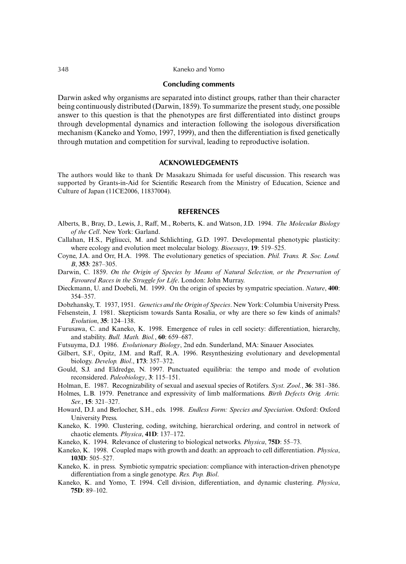### **Concluding comments**

Darwin asked why organisms are separated into distinct groups, rather than their character being continuously distributed (Darwin, 1859). To summarize the present study, one possible answer to this question is that the phenotypes are first differentiated into distinct groups through developmental dynamics and interaction following the isologous diversification mechanism (Kaneko and Yomo, 1997, 1999), and then the differentiation is fixed genetically through mutation and competition for survival, leading to reproductive isolation.

## **ACKNOWLEDGEMENTS**

The authors would like to thank Dr Masakazu Shimada for useful discussion. This research was supported by Grants-in-Aid for Scientific Research from the Ministry of Education, Science and Culture of Japan (11CE2006, 11837004).

## **REFERENCES**

- Alberts, B., Bray, D., Lewis, J., Raff, M., Roberts, K. and Watson, J.D. 1994. *The Molecular Biology of the Cell*. New York: Garland.
- Callahan, H.S., Pigliucci, M. and Schlichting, G.D. 1997. Developmental phenotypic plasticity: where ecology and evolution meet molecular biology. *Bioessays*, **19**: 519–525.
- Coyne, J.A. and Orr, H.A. 1998. The evolutionary genetics of speciation. *Phil. Trans. R. Soc. Lond. B*, **353**: 287–305.
- Darwin, C. 1859. *On the Origin of Species by Means of Natural Selection, or the Preservation of Favoured Races in the Struggle for Life*. London: John Murray.
- Dieckmann, U. and Doebeli, M. 1999. On the origin of species by sympatric speciation. *Nature*, **400**: 354–357.

Dobzhansky, T. 1937, 1951. *Genetics and the Origin of Species*. New York: Columbia University Press.

- Felsenstein, J. 1981. Skepticism towards Santa Rosalia, or why are there so few kinds of animals? *Evolution*, **35**: 124–138.
- Furusawa, C. and Kaneko, K. 1998. Emergence of rules in cell society: differentiation, hierarchy, and stability. *Bull. Math. Biol.*, **60**: 659–687.
- Futsuyma, D.J. 1986. *Evolutionary Biology*, 2nd edn. Sunderland, MA: Sinauer Associates.
- Gilbert, S.F., Opitz, J.M. and Raff, R.A. 1996. Resynthesizing evolutionary and developmental biology. *Develop. Biol*., **173**: 357–372.
- Gould, S.J. and Eldredge, N. 1997. Punctuated equilibria: the tempo and mode of evolution reconsidered. *Paleobiology*, **3**: 115–151.
- Holman, E. 1987. Recognizability of sexual and asexual species of Rotifers. *Syst. Zool.*, **36**: 381–386.
- Holmes, L.B. 1979. Penetrance and expressivity of limb malformations. *Birth Defects Orig. Artic. Ser.*, **15**: 321–327.
- Howard, D.J. and Berlocher, S.H., eds. 1998. *Endless Form: Species and Speciation*. Oxford: Oxford University Press.
- Kaneko, K. 1990. Clustering, coding, switching, hierarchical ordering, and control in network of chaotic elements. *Physica*, **41D**: 137–172.
- Kaneko, K. 1994. Relevance of clustering to biological networks. *Physica*, **75D**: 55–73.
- Kaneko, K. 1998. Coupled maps with growth and death: an approach to cell differentiation. *Physica*, **103D**: 505–527.
- Kaneko, K. in press. Symbiotic sympatric speciation: compliance with interaction-driven phenotype differentiation from a single genotype. *Res. Pop. Biol*.
- Kaneko, K. and Yomo, T. 1994. Cell division, differentiation, and dynamic clustering. *Physica*, **75D**: 89–102.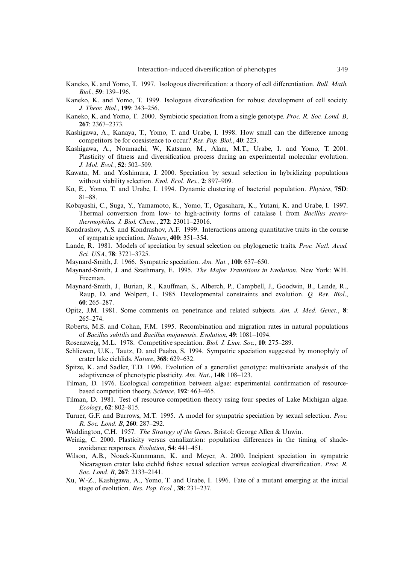- Kaneko, K. and Yomo, T. 1997. Isologous diversification: a theory of cell differentiation. *Bull. Math. Biol.*, **59**: 139–196.
- Kaneko, K. and Yomo, T. 1999. Isologous diversification for robust development of cell society. *J. Theor. Biol.*, **199**: 243–256.
- Kaneko, K. and Yomo, T. 2000. Symbiotic speciation from a single genotype. *Proc. R. Soc. Lond. B*, **267**: 2367–2373.
- Kashigawa, A., Kanaya, T., Yomo, T. and Urabe, I. 1998. How small can the difference among competitors be for coexistence to occur? *Res. Pop. Biol.*, **40**: 223.
- Kashigawa, A., Noumachi, W., Katsuno, M., Alam, M.T., Urabe, I. and Yomo, T. 2001. Plasticity of fitness and diversification process during an experimental molecular evolution. *J. Mol. Evol.*, **52**: 502–509.
- Kawata, M. and Yoshimura, J. 2000. Speciation by sexual selection in hybridizing populations without viability selection. *Evol. Ecol. Res.*, **2**: 897–909.
- Ko, E., Yomo, T. and Urabe, I. 1994. Dynamic clustering of bacterial population. *Physica*, **75D**: 81–88.
- Kobayashi, C., Suga, Y., Yamamoto, K., Yomo, T., Ogasahara, K., Yutani, K. and Urabe, I. 1997. Thermal conversion from low- to high-activity forms of catalase I from *Bacillus stearothermophilus. J. Biol. Chem.*, **272**: 23011–23016.
- Kondrashov, A.S. and Kondrashov, A.F. 1999. Interactions among quantitative traits in the course of sympatric speciation. *Nature*, **400**: 351–354.
- Lande, R. 1981. Models of speciation by sexual selection on phylogenetic traits. *Proc. Natl. Acad. Sci. USA*, **78**: 3721–3725.
- Maynard-Smith, J. 1966. Sympatric speciation. *Am. Nat.*, **100**: 637–650.
- Maynard-Smith, J. and Szathmary, E. 1995. *The Major Transitions in Evolution*. New York: W.H. Freeman.
- Maynard-Smith, J., Burian, R., Kauffman, S., Alberch, P., Campbell, J., Goodwin, B., Lande, R., Raup, D. and Wolpert, L. 1985. Developmental constraints and evolution. *Q. Rev. Biol*., **60**: 265–287.
- Opitz, J.M. 1981. Some comments on penetrance and related subjects. *Am. J. Med. Genet.*, **8**: 265–274.
- Roberts, M.S. and Cohan, F.M. 1995. Recombination and migration rates in natural populations of *Bacillus subtilis* and *Bacillus mojavensis*. *Evolution*, **49**: 1081–1094.
- Rosenzweig, M.L. 1978. Competitive speciation. *Biol. J. Linn. Soc.*, **10**: 275–289.
- Schliewen, U.K., Tautz, D. and Paabo, S. 1994. Sympatric speciation suggested by monophyly of crater lake cichlids. *Nature*, **368**: 629–632.
- Spitze, K. and Sadler, T.D. 1996. Evolution of a generalist genotype: multivariate analysis of the adaptiveness of phenotypic plasticity. *Am. Nat*., **148**: 108–123.
- Tilman, D. 1976. Ecological competition between algae: experimental confirmation of resourcebased competition theory. *Science*, **192**: 463–465.
- Tilman, D. 1981. Test of resource competition theory using four species of Lake Michigan algae. *Ecology*, **62**: 802–815.
- Turner, G.F. and Burrows, M.T. 1995. A model for sympatric speciation by sexual selection. *Proc. R. Soc. Lond. B*, **260**: 287–292.
- Waddington, C.H. 1957. *The Strategy of the Genes*. Bristol: George Allen & Unwin.
- Weinig, C. 2000. Plasticity versus canalization: population differences in the timing of shadeavoidance responses. *Evolution*, **54**: 441–451.
- Wilson, A.B., Noack-Kunnmann, K. and Meyer, A. 2000. Incipient speciation in sympatric Nicaraguan crater lake cichlid fishes: sexual selection versus ecological diversification. *Proc. R. Soc. Lond. B*, **267**: 2133–2141.
- Xu, W.-Z., Kashigawa, A., Yomo, T. and Urabe, I. 1996. Fate of a mutant emerging at the initial stage of evolution. *Res. Pop. Ecol.*, **38**: 231–237.